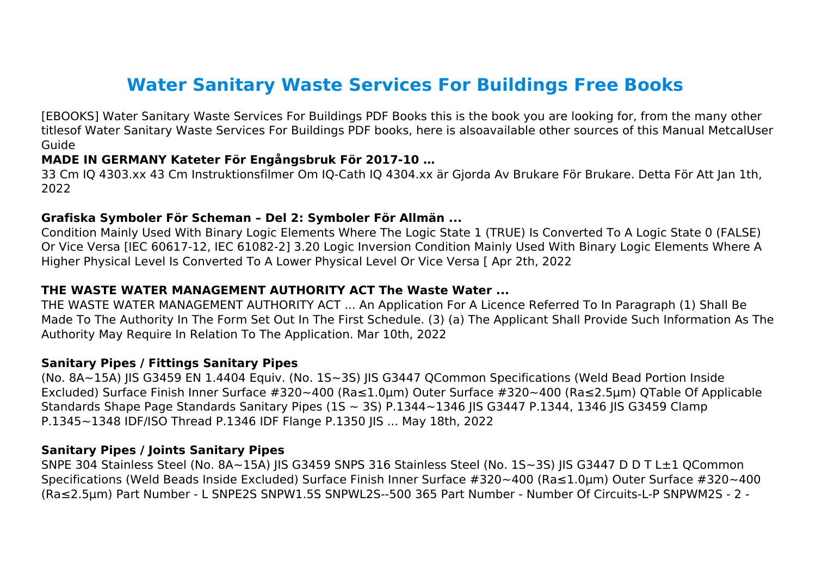# **Water Sanitary Waste Services For Buildings Free Books**

[EBOOKS] Water Sanitary Waste Services For Buildings PDF Books this is the book you are looking for, from the many other titlesof Water Sanitary Waste Services For Buildings PDF books, here is alsoavailable other sources of this Manual MetcalUser Guide

#### **MADE IN GERMANY Kateter För Engångsbruk För 2017-10 …**

33 Cm IQ 4303.xx 43 Cm Instruktionsfilmer Om IQ-Cath IQ 4304.xx är Gjorda Av Brukare För Brukare. Detta För Att Jan 1th, 2022

## **Grafiska Symboler För Scheman – Del 2: Symboler För Allmän ...**

Condition Mainly Used With Binary Logic Elements Where The Logic State 1 (TRUE) Is Converted To A Logic State 0 (FALSE) Or Vice Versa [IEC 60617-12, IEC 61082-2] 3.20 Logic Inversion Condition Mainly Used With Binary Logic Elements Where A Higher Physical Level Is Converted To A Lower Physical Level Or Vice Versa [ Apr 2th, 2022

## **THE WASTE WATER MANAGEMENT AUTHORITY ACT The Waste Water ...**

THE WASTE WATER MANAGEMENT AUTHORITY ACT ... An Application For A Licence Referred To In Paragraph (1) Shall Be Made To The Authority In The Form Set Out In The First Schedule. (3) (a) The Applicant Shall Provide Such Information As The Authority May Require In Relation To The Application. Mar 10th, 2022

#### **Sanitary Pipes / Fittings Sanitary Pipes**

(No. 8A~15A) JIS G3459 EN 1.4404 Equiv. (No. 1S~3S) JIS G3447 QCommon Specifications (Weld Bead Portion Inside Excluded) Surface Finish Inner Surface #320~400 (Ra≤1.0µm) Outer Surface #320~400 (Ra≤2.5µm) QTable Of Applicable Standards Shape Page Standards Sanitary Pipes (1S ~ 3S) P.1344~1346 IIS G3447 P.1344, 1346 IIS G3459 Clamp P.1345~1348 IDF/ISO Thread P.1346 IDF Flange P.1350 JIS ... May 18th, 2022

#### **Sanitary Pipes / Joints Sanitary Pipes**

SNPE 304 Stainless Steel (No. 8A~15A) JIS G3459 SNPS 316 Stainless Steel (No. 1S~3S) JIS G3447 D D T L±1 QCommon Specifications (Weld Beads Inside Excluded) Surface Finish Inner Surface #320~400 (Ra≤1.0µm) Outer Surface #320~400 (Ra≤2.5µm) Part Number - L SNPE2S SNPW1.5S SNPWL2S--500 365 Part Number - Number Of Circuits-L-P SNPWM2S - 2 -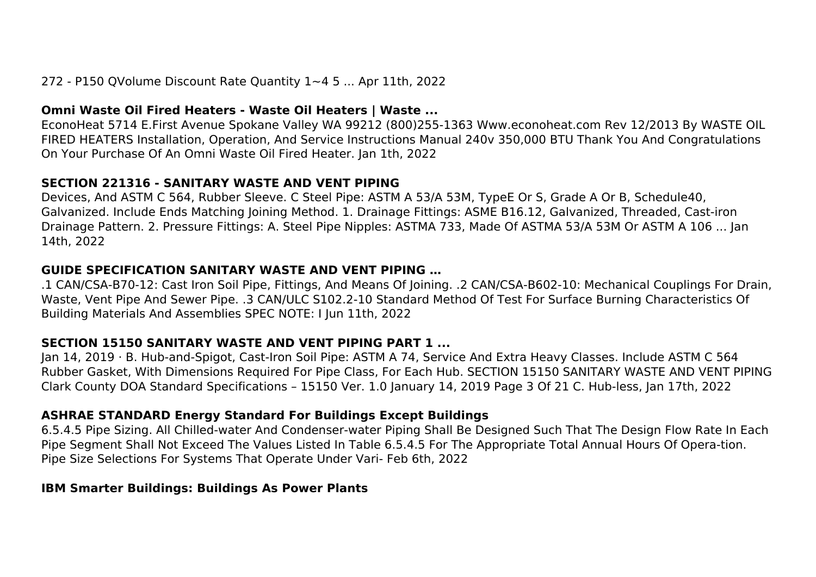# 272 - P150 QVolume Discount Rate Quantity 1~4 5 ... Apr 11th, 2022

## **Omni Waste Oil Fired Heaters - Waste Oil Heaters | Waste ...**

EconoHeat 5714 E.First Avenue Spokane Valley WA 99212 (800)255-1363 Www.econoheat.com Rev 12/2013 By WASTE OIL FIRED HEATERS Installation, Operation, And Service Instructions Manual 240v 350,000 BTU Thank You And Congratulations On Your Purchase Of An Omni Waste Oil Fired Heater. Jan 1th, 2022

## **SECTION 221316 - SANITARY WASTE AND VENT PIPING**

Devices, And ASTM C 564, Rubber Sleeve. C Steel Pipe: ASTM A 53/A 53M, TypeE Or S, Grade A Or B, Schedule40, Galvanized. Include Ends Matching Joining Method. 1. Drainage Fittings: ASME B16.12, Galvanized, Threaded, Cast-iron Drainage Pattern. 2. Pressure Fittings: A. Steel Pipe Nipples: ASTMA 733, Made Of ASTMA 53/A 53M Or ASTM A 106 ... Jan 14th, 2022

## **GUIDE SPECIFICATION SANITARY WASTE AND VENT PIPING …**

.1 CAN/CSA-B70-12: Cast Iron Soil Pipe, Fittings, And Means Of Joining. .2 CAN/CSA-B602-10: Mechanical Couplings For Drain, Waste, Vent Pipe And Sewer Pipe. .3 CAN/ULC S102.2-10 Standard Method Of Test For Surface Burning Characteristics Of Building Materials And Assemblies SPEC NOTE: I Jun 11th, 2022

# **SECTION 15150 SANITARY WASTE AND VENT PIPING PART 1 ...**

Jan 14, 2019 · B. Hub-and-Spigot, Cast-Iron Soil Pipe: ASTM A 74, Service And Extra Heavy Classes. Include ASTM C 564 Rubber Gasket, With Dimensions Required For Pipe Class, For Each Hub. SECTION 15150 SANITARY WASTE AND VENT PIPING Clark County DOA Standard Specifications – 15150 Ver. 1.0 January 14, 2019 Page 3 Of 21 C. Hub-less, Jan 17th, 2022

# **ASHRAE STANDARD Energy Standard For Buildings Except Buildings**

6.5.4.5 Pipe Sizing. All Chilled-water And Condenser-water Piping Shall Be Designed Such That The Design Flow Rate In Each Pipe Segment Shall Not Exceed The Values Listed In Table 6.5.4.5 For The Appropriate Total Annual Hours Of Opera-tion. Pipe Size Selections For Systems That Operate Under Vari- Feb 6th, 2022

# **IBM Smarter Buildings: Buildings As Power Plants**